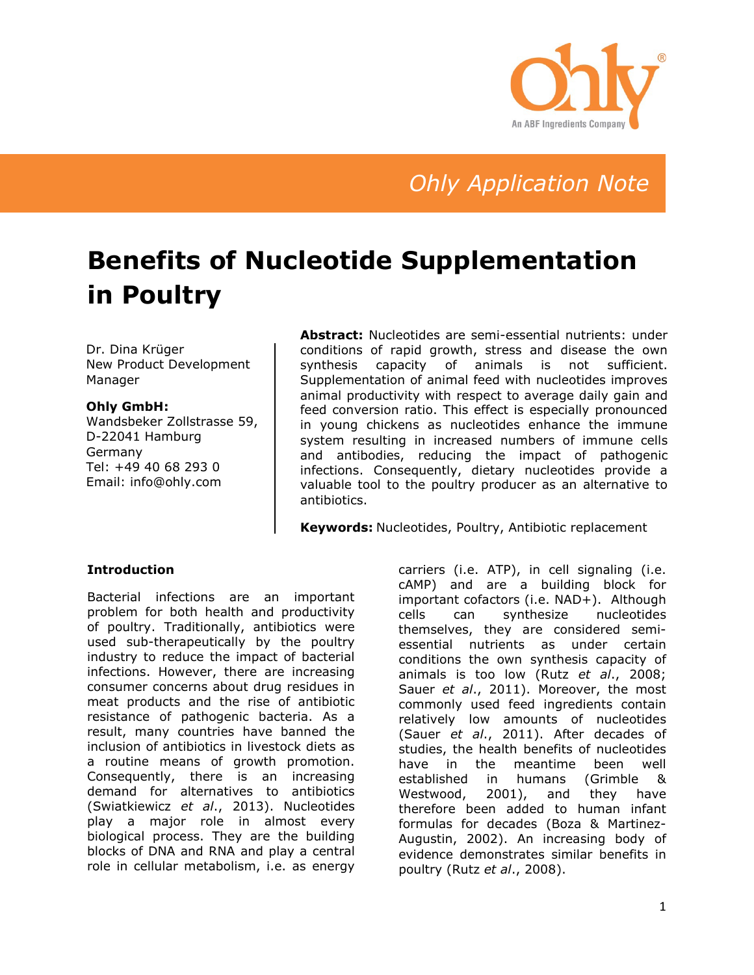

# *Ohly Application Note*

# **Benefits of Nucleotide Supplementation in Poultry**

Dr. Dina Krüger New Product Development Manager

#### **Ohly GmbH:**

Wandsbeker Zollstrasse 59, D-22041 Hamburg Germany Tel: +49 40 68 293 0 Email: info@ohly.com

**Abstract:** Nucleotides are semi-essential nutrients: under conditions of rapid growth, stress and disease the own synthesis capacity of animals is not sufficient. Supplementation of animal feed with nucleotides improves animal productivity with respect to average daily gain and feed conversion ratio. This effect is especially pronounced in young chickens as nucleotides enhance the immune system resulting in increased numbers of immune cells and antibodies, reducing the impact of pathogenic infections. Consequently, dietary nucleotides provide a valuable tool to the poultry producer as an alternative to antibiotics.

**Keywords:** Nucleotides, Poultry, Antibiotic replacement

### **Introduction**

Bacterial infections are an important problem for both health and productivity of poultry. Traditionally, antibiotics were used sub-therapeutically by the poultry industry to reduce the impact of bacterial infections. However, there are increasing consumer concerns about drug residues in meat products and the rise of antibiotic resistance of pathogenic bacteria. As a result, many countries have banned the inclusion of antibiotics in livestock diets as a routine means of growth promotion. Consequently, there is an increasing demand for alternatives to antibiotics (Swiatkiewicz *et al*., 2013). Nucleotides play a major role in almost every biological process. They are the building blocks of DNA and RNA and play a central role in cellular metabolism, i.e. as energy

carriers (i.e. ATP), in cell signaling (i.e. cAMP) and are a building block for important cofactors (i.e. NAD+). Although cells can synthesize nucleotides themselves, they are considered semiessential nutrients as under certain conditions the own synthesis capacity of animals is too low (Rutz *et al*., 2008; Sauer *et al*., 2011). Moreover, the most commonly used feed ingredients contain relatively low amounts of nucleotides (Sauer *et al*., 2011). After decades of studies, the health benefits of nucleotides have in the meantime been well established in humans (Grimble & Westwood, 2001), and they have therefore been added to human infant formulas for decades (Boza & Martinez-Augustin, 2002). An increasing body of evidence demonstrates similar benefits in poultry (Rutz *et al*., 2008).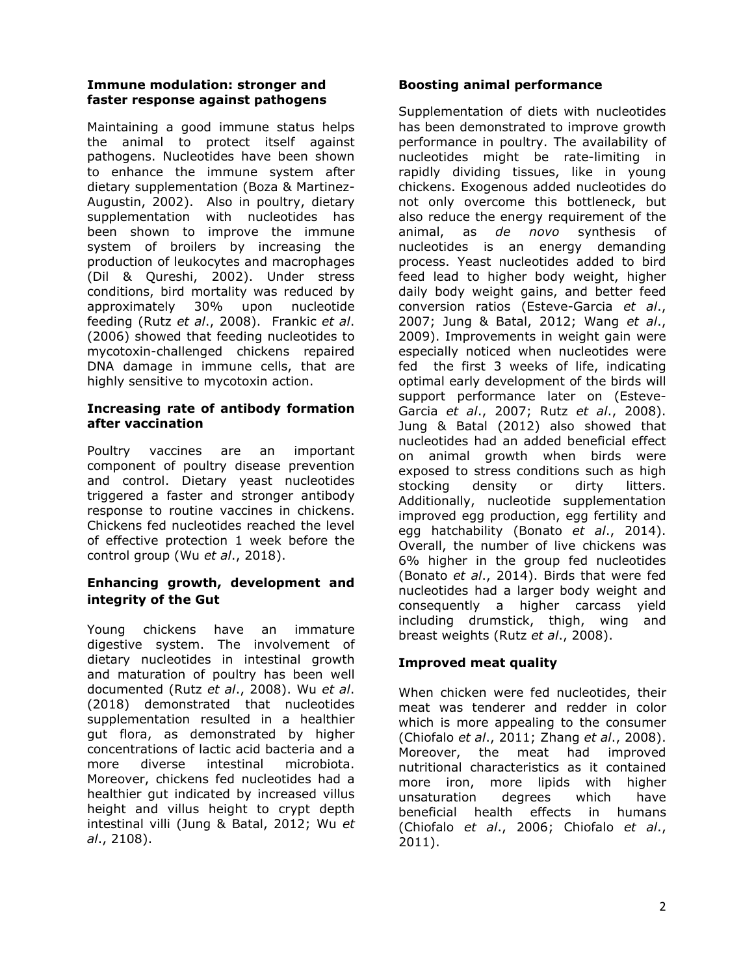#### **Immune modulation: stronger and faster response against pathogens**

Maintaining a good immune status helps the animal to protect itself against pathogens. Nucleotides have been shown to enhance the immune system after dietary supplementation (Boza & Martinez-Augustin, 2002). Also in poultry, dietary supplementation with nucleotides has been shown to improve the immune system of broilers by increasing the production of leukocytes and macrophages (Dil & Qureshi, 2002). Under stress conditions, bird mortality was reduced by approximately 30% upon nucleotide feeding (Rutz *et al*., 2008). Frankic *et al*. (2006) showed that feeding nucleotides to mycotoxin-challenged chickens repaired DNA damage in immune cells, that are highly sensitive to mycotoxin action.

#### **Increasing rate of antibody formation after vaccination**

Poultry vaccines are an important component of poultry disease prevention and control. Dietary yeast nucleotides triggered a faster and stronger antibody response to routine vaccines in chickens. Chickens fed nucleotides reached the level of effective protection 1 week before the control group (Wu *et al*., 2018).

### **Enhancing growth, development and integrity of the Gut**

Young chickens have an immature digestive system. The involvement of dietary nucleotides in intestinal growth and maturation of poultry has been well documented (Rutz *et al*., 2008). Wu *et al*. (2018) demonstrated that nucleotides supplementation resulted in a healthier gut flora, as demonstrated by higher concentrations of lactic acid bacteria and a more diverse intestinal microbiota. Moreover, chickens fed nucleotides had a healthier gut indicated by increased villus height and villus height to crypt depth intestinal villi (Jung & Batal, 2012; Wu *et al*., 2108).

## **Boosting animal performance**

Supplementation of diets with nucleotides has been demonstrated to improve growth performance in poultry. The availability of nucleotides might be rate-limiting in rapidly dividing tissues, like in young chickens. Exogenous added nucleotides do not only overcome this bottleneck, but also reduce the energy requirement of the animal, as *de novo* synthesis of nucleotides is an energy demanding process. Yeast nucleotides added to bird feed lead to higher body weight, higher daily body weight gains, and better feed conversion ratios (Esteve-Garcia *et al*., 2007; Jung & Batal, 2012; Wang *et al*., 2009). Improvements in weight gain were especially noticed when nucleotides were fed the first 3 weeks of life, indicating optimal early development of the birds will support performance later on (Esteve-Garcia *et al*., 2007; Rutz *et al*., 2008). Jung & Batal (2012) also showed that nucleotides had an added beneficial effect on animal growth when birds were exposed to stress conditions such as high stocking density or dirty litters. Additionally, nucleotide supplementation improved egg production, egg fertility and egg hatchability (Bonato *et al*., 2014). Overall, the number of live chickens was 6% higher in the group fed nucleotides (Bonato *et al*., 2014). Birds that were fed nucleotides had a larger body weight and consequently a higher carcass yield including drumstick, thigh, wing and breast weights (Rutz *et al*., 2008).

### **Improved meat quality**

When chicken were fed nucleotides, their meat was tenderer and redder in color which is more appealing to the consumer (Chiofalo *et al*., 2011; Zhang *et al*., 2008). Moreover, the meat had improved nutritional characteristics as it contained more iron, more lipids with higher unsaturation degrees which have beneficial health effects in humans (Chiofalo *et al*., 2006; Chiofalo *et al*., 2011).